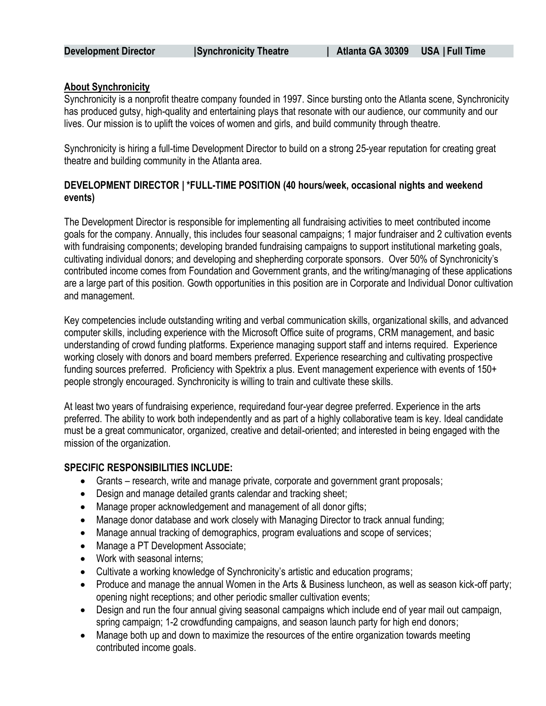### **About Synchronicity**

Synchronicity is a nonprofit theatre company founded in 1997. Since bursting onto the Atlanta scene, Synchronicity has produced gutsy, high-quality and entertaining plays that resonate with our audience, our community and our lives. Our mission is to uplift the voices of women and girls, and build community through theatre.

Synchronicity is hiring a full-time Development Director to build on a strong 25-year reputation for creating great theatre and building community in the Atlanta area.

# **DEVELOPMENT DIRECTOR | \*FULL-TIME POSITION (40 hours/week, occasional nights and weekend events)**

The Development Director is responsible for implementing all fundraising activities to meet contributed income goals for the company. Annually, this includes four seasonal campaigns; 1 major fundraiser and 2 cultivation events with fundraising components; developing branded fundraising campaigns to support institutional marketing goals, cultivating individual donors; and developing and shepherding corporate sponsors. Over 50% of Synchronicity's contributed income comes from Foundation and Government grants, and the writing/managing of these applications are a large part of this position. Gowth opportunities in this position are in Corporate and Individual Donor cultivation and management.

Key competencies include outstanding writing and verbal communication skills, organizational skills, and advanced computer skills, including experience with the Microsoft Office suite of programs, CRM management, and basic understanding of crowd funding platforms. Experience managing support staff and interns required. Experience working closely with donors and board members preferred. Experience researching and cultivating prospective funding sources preferred. Proficiency with Spektrix a plus. Event management experience with events of 150+ people strongly encouraged. Synchronicity is willing to train and cultivate these skills.

At least two years of fundraising experience, requiredand four-year degree preferred. Experience in the arts preferred. The ability to work both independently and as part of a highly collaborative team is key. Ideal candidate must be a great communicator, organized, creative and detail-oriented; and interested in being engaged with the mission of the organization.

#### **SPECIFIC RESPONSIBILITIES INCLUDE:**

- Grants research, write and manage private, corporate and government grant proposals;
- Design and manage detailed grants calendar and tracking sheet;
- Manage proper acknowledgement and management of all donor gifts;
- Manage donor database and work closely with Managing Director to track annual funding;
- Manage annual tracking of demographics, program evaluations and scope of services;
- Manage a PT Development Associate;
- Work with seasonal interns;
- Cultivate a working knowledge of Synchronicity's artistic and education programs;
- Produce and manage the annual Women in the Arts & Business luncheon, as well as season kick-off party; opening night receptions; and other periodic smaller cultivation events;
- Design and run the four annual giving seasonal campaigns which include end of year mail out campaign, spring campaign; 1-2 crowdfunding campaigns, and season launch party for high end donors;
- Manage both up and down to maximize the resources of the entire organization towards meeting contributed income goals.